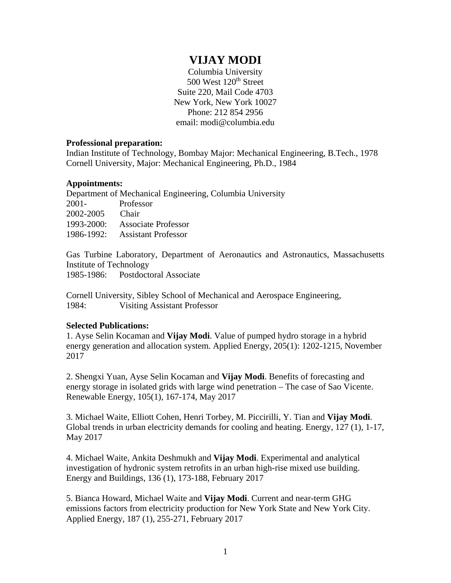## **VIJAY MODI**

Columbia University 500 West 120<sup>th</sup> Street Suite 220, Mail Code 4703 New York, New York 10027 Phone: 212 854 2956 email: modi@columbia.edu

## **Professional preparation:**

Indian Institute of Technology, Bombay Major: Mechanical Engineering, B.Tech., 1978 Cornell University, Major: Mechanical Engineering, Ph.D., 1984

## **Appointments:**

Department of Mechanical Engineering, Columbia University 2001- Professor 2002-2005 Chair 1993-2000: Associate Professor 1986-1992: Assistant Professor

Gas Turbine Laboratory, Department of Aeronautics and Astronautics, Massachusetts Institute of Technology 1985-1986: Postdoctoral Associate

Cornell University, Sibley School of Mechanical and Aerospace Engineering, 1984: Visiting Assistant Professor

## **Selected Publications:**

1. Ayse Selin Kocaman and **Vijay Modi**. Value of pumped hydro storage in a hybrid energy generation and allocation system. Applied Energy, 205(1): 1202-1215, November 2017

2. Shengxi Yuan, Ayse Selin Kocaman and **Vijay Modi**. Benefits of forecasting and energy storage in isolated grids with large wind penetration – The case of Sao Vicente. Renewable Energy, 105(1), 167-174, May 2017

3. Michael Waite, Elliott Cohen, Henri Torbey, M. Piccirilli, Y. Tian and **Vijay Modi**. Global trends in urban electricity demands for cooling and heating. Energy, 127 (1), 1-17, May 2017

4. Michael Waite, Ankita Deshmukh and **Vijay Modi**. Experimental and analytical investigation of hydronic system retrofits in an urban high-rise mixed use building. Energy and Buildings, 136 (1), 173-188, February 2017

5. Bianca Howard, Michael Waite and **Vijay Modi**. Current and near-term GHG emissions factors from electricity production for New York State and New York City. Applied Energy, 187 (1), 255-271, February 2017